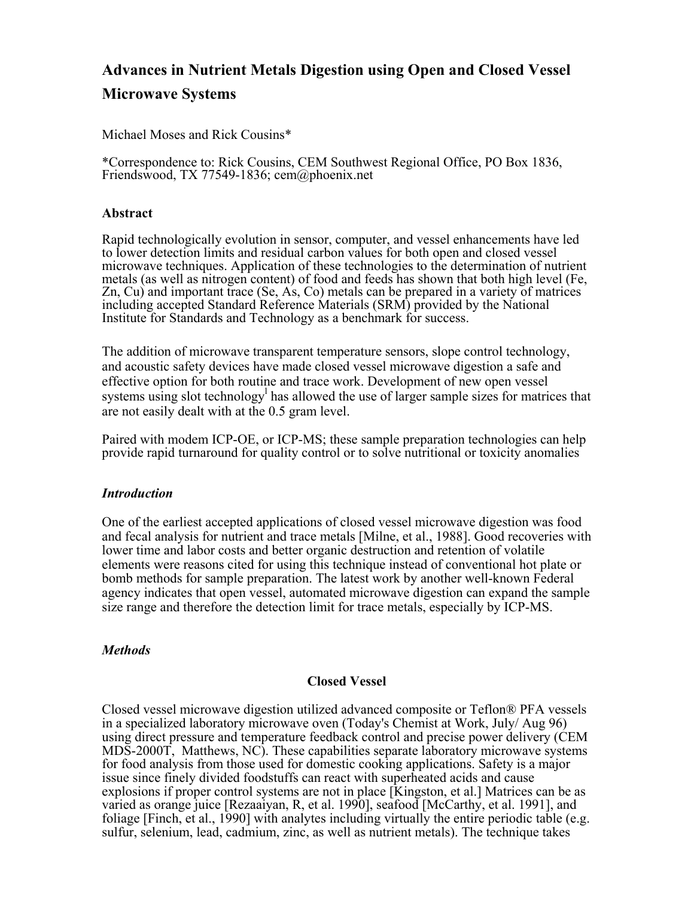# **Advances in Nutrient Metals Digestion using Open and Closed Vessel Microwave Systems**

Michael Moses and Rick Cousins\*

\*Correspondence to: Rick Cousins, CEM Southwest Regional Office, PO Box 1836, Friendswood, TX 77549-1836; cem@phoenix.net

#### **Abstract**

Rapid technologically evolution in sensor, computer, and vessel enhancements have led to lower detection limits and residual carbon values for both open and closed vessel microwave techniques. Application of these technologies to the determination of nutrient metals (as well as nitrogen content) of food and feeds has shown that both high level (Fe, Zn, Cu) and important trace (Se, As, Co) metals can be prepared in a variety of matrices including accepted Standard Reference Materials (SRM) provided by the National Institute for Standards and Technology as a benchmark for success.

The addition of microwave transparent temperature sensors, slope control technology, and acoustic safety devices have made closed vessel microwave digestion a safe and effective option for both routine and trace work. Development of new open vessel systems using slot technology<sup>1</sup> has allowed the use of larger sample sizes for matrices that are not easily dealt with at the 0.5 gram level.

Paired with modem ICP-OE, or ICP-MS; these sample preparation technologies can help provide rapid turnaround for quality control or to solve nutritional or toxicity anomalies

#### *Introduction*

One of the earliest accepted applications of closed vessel microwave digestion was food and fecal analysis for nutrient and trace metals [Milne, et al., 1988]. Good recoveries with lower time and labor costs and better organic destruction and retention of volatile elements were reasons cited for using this technique instead of conventional hot plate or bomb methods for sample preparation. The latest work by another well-known Federal agency indicates that open vessel, automated microwave digestion can expand the sample size range and therefore the detection limit for trace metals, especially by ICP-MS.

#### *Methods*

## **Closed Vessel**

Closed vessel microwave digestion utilized advanced composite or Teflon® PFA vessels in a specialized laboratory microwave oven (Today's Chemist at Work, July/ Aug 96) using direct pressure and temperature feedback control and precise power delivery (CEM MDS-2000T, Matthews, NC). These capabilities separate laboratory microwave systems for food analysis from those used for domestic cooking applications. Safety is a major issue since finely divided foodstuffs can react with superheated acids and cause explosions if proper control systems are not in place [Kingston, et al.] Matrices can be as varied as orange juice [Rezaaiyan, R, et al. 1990], seafood [McCarthy, et al. 1991], and foliage [Finch, et al., 1990] with analytes including virtually the entire periodic table (e.g. sulfur, selenium, lead, cadmium, zinc, as well as nutrient metals). The technique takes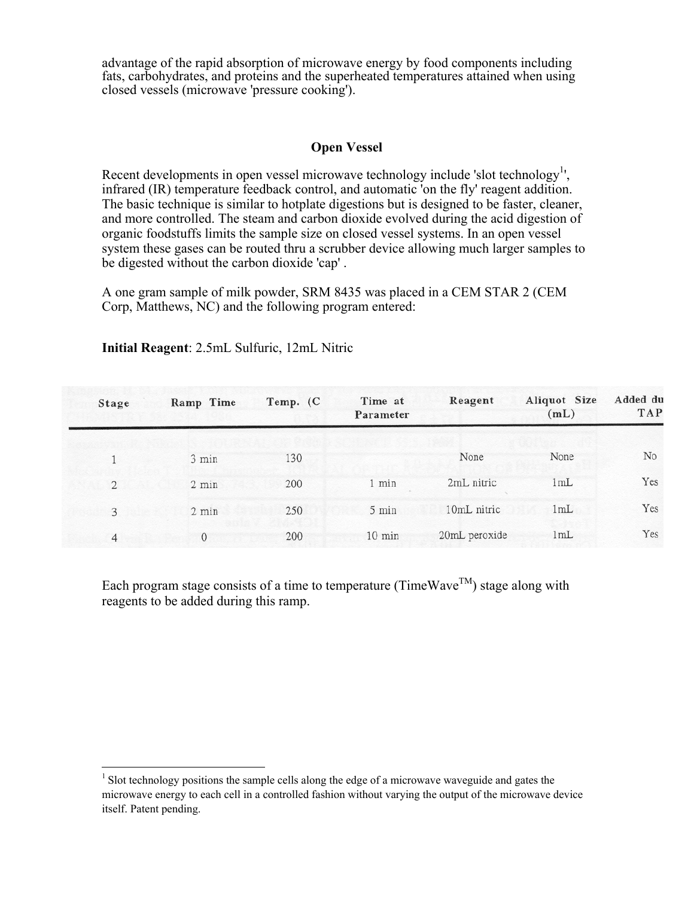advantage of the rapid absorption of microwave energy by food components including fats, carbohydrates, and proteins and the superheated temperatures attained when using closed vessels (microwave 'pressure cooking').

## **Open Vessel**

Recent developments in open vessel microwave technology include 'slot technology<sup>[1](#page-1-0)</sup>', infrared (IR) temperature feedback control, and automatic 'on the fly' reagent addition. The basic technique is similar to hotplate digestions but is designed to be faster, cleaner, and more controlled. The steam and carbon dioxide evolved during the acid digestion of organic foodstuffs limits the sample size on closed vessel systems. In an open vessel system these gases can be routed thru a scrubber device allowing much larger samples to be digested without the carbon dioxide 'cap' .

A one gram sample of milk powder, SRM 8435 was placed in a CEM STAR 2 (CEM Corp, Matthews, NC) and the following program entered:

| Stage          | Ramp Time       | Temp. (C | Time at<br>Parameter | Reagent       | Aliquot Size<br>(mL) | Added du<br><b>TAP</b> |
|----------------|-----------------|----------|----------------------|---------------|----------------------|------------------------|
|                |                 |          |                      |               |                      |                        |
|                | 3 min           | 130      |                      | None          | None                 | N <sub>o</sub>         |
| $\overline{2}$ | 2 min           | 200      | 1 min                | 2mL nitric    | 1mL                  | Yes                    |
| 3              | $2 \text{ min}$ | 250      | 5 min                | 10mL nitric   | 1mL                  | Yes                    |
| $\overline{4}$ | 0               | 200      | $10 \text{ min}$     | 20mL peroxide | 1mL                  | Yes                    |

# **Initial Reagent**: 2.5mL Sulfuric, 12mL Nitric

Each program stage consists of a time to temperature (TimeWave<sup>TM</sup>) stage along with reagents to be added during this ramp.

<span id="page-1-0"></span> $1$  Slot technology positions the sample cells along the edge of a microwave waveguide and gates the microwave energy to each cell in a controlled fashion without varying the output of the microwave device itself. Patent pending.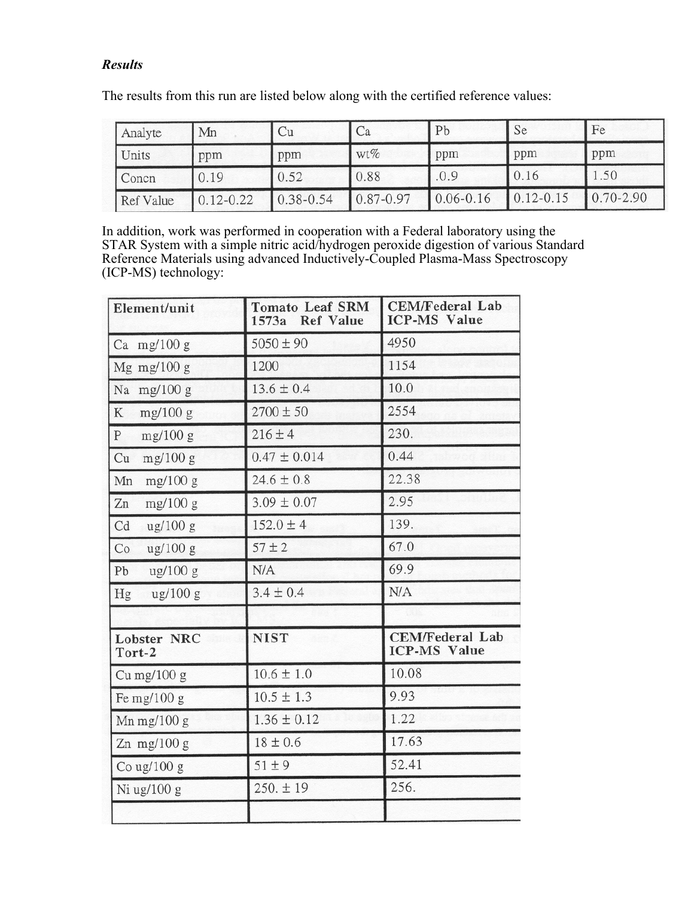# *Results*

The results from this run are listed below along with the certified reference values:

| Analyte   | Mn            | Ċи            | Сa            | Pb            | Se            | Fe            |
|-----------|---------------|---------------|---------------|---------------|---------------|---------------|
| Units     | ppm           | ppm           | wt%           | ppm           | ppm           | ppm           |
| Concn     | 0.19          | 0.52          | 0.88          | .0.9          | 0.16          | 1.50          |
| Ref Value | $0.12 - 0.22$ | $0.38 - 0.54$ | $0.87 - 0.97$ | $0.06 - 0.16$ | $0.12 - 0.15$ | $0.70 - 2.90$ |

In addition, work was performed in cooperation with a Federal laboratory using the STAR System with a simple nitric acid/hydrogen peroxide digestion of various Standard Reference Materials using advanced Inductively-Coupled Plasma-Mass Spectroscopy (ICP-MS) technology:

| Element/unit                            | <b>Tomato Leaf SRM</b><br>1573a Ref Value | <b>CEM/Federal Lab</b><br><b>ICP-MS Value</b> |  |  |
|-----------------------------------------|-------------------------------------------|-----------------------------------------------|--|--|
| Ca mg/100 $g$                           | $5050 \pm 90$                             | 4950                                          |  |  |
| Mg mg/100 g                             | 1200                                      | 1154                                          |  |  |
| Na mg/100 g                             | $13.6 \pm 0.4$                            | 10.0                                          |  |  |
| K<br>mg/100 g                           | $2700 \pm 50$                             | 2554                                          |  |  |
| P<br>mg/100 g                           | $216 \pm 4$                               | 230.                                          |  |  |
| Cu<br>mg/100 g                          | $0.47 \pm 0.014$                          | 0.44                                          |  |  |
| Mn<br>mg/100 g                          | $24.6 \pm 0.8$                            | 22.38                                         |  |  |
| Zn<br>mg/100 g                          | $3.09 \pm 0.07$                           | 2.95                                          |  |  |
| Cd<br>$\frac{\text{ug}}{100}$ g         | $152.0 \pm 4$                             | 139.                                          |  |  |
| Co<br>$\frac{\text{ug}}{100}$ g         | $57 + 2$                                  | 67.0                                          |  |  |
| Pb<br>$\frac{\text{ug}}{100 \text{ g}}$ | N/A                                       | 69.9                                          |  |  |
| ug/100 g<br>Hg                          | $3.4 \pm 0.4$                             | N/A                                           |  |  |
|                                         |                                           |                                               |  |  |
| <b>Lobster NRC</b><br>Tort-2            | <b>NIST</b>                               | <b>CEM/Federal Lab</b><br><b>ICP-MS Value</b> |  |  |
| Cu mg/ $100 g$                          | $10.6 \pm 1.0$                            | 10.08                                         |  |  |
| Fe mg/ $100 g$                          | $10.5 \pm 1.3$                            | 9.93                                          |  |  |
| Mn mg/ $100 g$                          | $1.36 \pm 0.12$                           | 1.22                                          |  |  |
| Zn $mg/100 g$                           | $18 \pm 0.6$                              | 17.63                                         |  |  |
| Co ug/ $100 g$                          | $51 \pm 9$                                | 52.41                                         |  |  |
| $Ni$ ug/ $100$ g                        | $250.+19$                                 | 256.                                          |  |  |
|                                         |                                           |                                               |  |  |